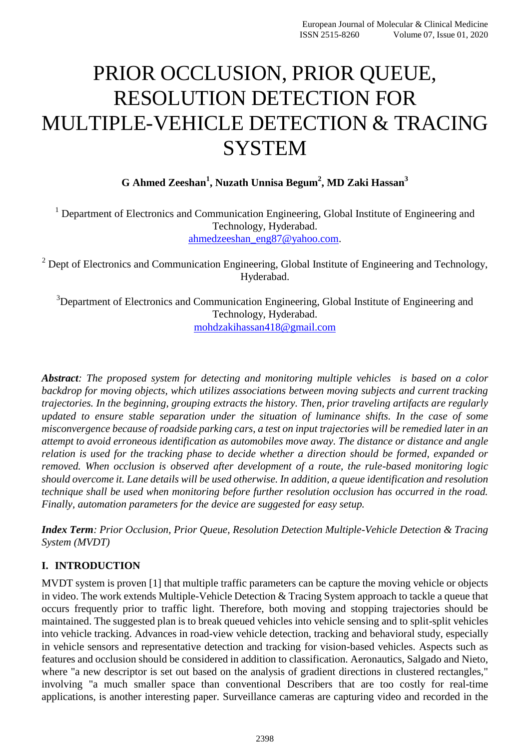# PRIOR OCCLUSION, PRIOR QUEUE, RESOLUTION DETECTION FOR MULTIPLE-VEHICLE DETECTION & TRACING **SYSTEM**

**G Ahmed Zeeshan<sup>1</sup> , Nuzath Unnisa Begum<sup>2</sup> , MD Zaki Hassan<sup>3</sup>**

 $1$  Department of Electronics and Communication Engineering, Global Institute of Engineering and Technology, Hyderabad. [ahmedzeeshan\\_eng87@yahoo.com.](mailto:ahmedzeeshan_eng87@yahoo.com)

 $2$  Dept of Electronics and Communication Engineering, Global Institute of Engineering and Technology, Hyderabad.

<sup>3</sup>Department of Electronics and Communication Engineering, Global Institute of Engineering and Technology, Hyderabad. [mohdzakihassan418@gmail.com](mailto:mohdzakihassan418@gmail.com)

*Abstract: The proposed system for detecting and monitoring multiple vehicles is based on a color backdrop for moving objects, which utilizes associations between moving subjects and current tracking trajectories. In the beginning, grouping extracts the history. Then, prior traveling artifacts are regularly updated to ensure stable separation under the situation of luminance shifts. In the case of some misconvergence because of roadside parking cars, a test on input trajectories will be remedied later in an attempt to avoid erroneous identification as automobiles move away. The distance or distance and angle relation is used for the tracking phase to decide whether a direction should be formed, expanded or removed. When occlusion is observed after development of a route, the rule-based monitoring logic should overcome it. Lane details will be used otherwise. In addition, a queue identification and resolution technique shall be used when monitoring before further resolution occlusion has occurred in the road. Finally, automation parameters for the device are suggested for easy setup.*

*Index Term: Prior Occlusion, Prior Queue, Resolution Detection Multiple-Vehicle Detection & Tracing System (MVDT)*

# **I. INTRODUCTION**

MVDT system is proven [1] that multiple traffic parameters can be capture the moving vehicle or objects in video. The work extends Multiple-Vehicle Detection & Tracing System approach to tackle a queue that occurs frequently prior to traffic light. Therefore, both moving and stopping trajectories should be maintained. The suggested plan is to break queued vehicles into vehicle sensing and to split-split vehicles into vehicle tracking. Advances in road-view vehicle detection, tracking and behavioral study, especially in vehicle sensors and representative detection and tracking for vision-based vehicles. Aspects such as features and occlusion should be considered in addition to classification. Aeronautics, Salgado and Nieto, where "a new descriptor is set out based on the analysis of gradient directions in clustered rectangles," involving "a much smaller space than conventional Describers that are too costly for real-time applications, is another interesting paper. Surveillance cameras are capturing video and recorded in the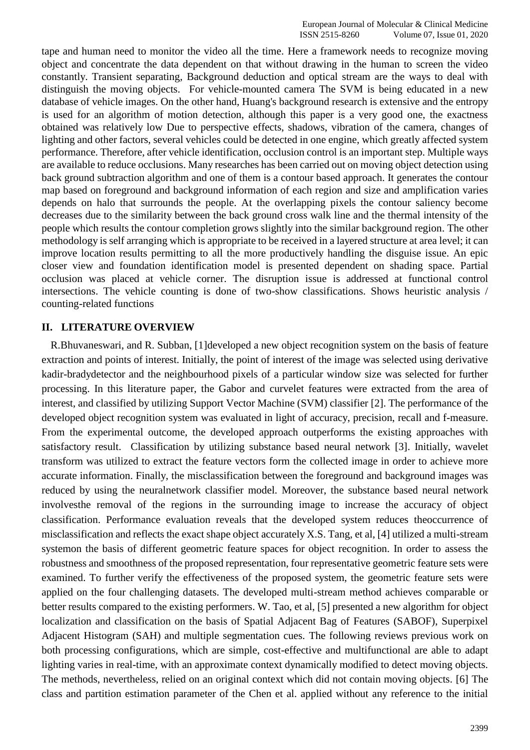tape and human need to monitor the video all the time. Here a framework needs to recognize moving object and concentrate the data dependent on that without drawing in the human to screen the video constantly. Transient separating, Background deduction and optical stream are the ways to deal with distinguish the moving objects. For vehicle-mounted camera The SVM is being educated in a new database of vehicle images. On the other hand, Huang's background research is extensive and the entropy is used for an algorithm of motion detection, although this paper is a very good one, the exactness obtained was relatively low Due to perspective effects, shadows, vibration of the camera, changes of lighting and other factors, several vehicles could be detected in one engine, which greatly affected system performance. Therefore, after vehicle identification, occlusion control is an important step. Multiple ways are available to reduce occlusions. Many researches has been carried out on moving object detection using back ground subtraction algorithm and one of them is a contour based approach. It generates the contour map based on foreground and background information of each region and size and amplification varies depends on halo that surrounds the people. At the overlapping pixels the contour saliency become decreases due to the similarity between the back ground cross walk line and the thermal intensity of the people which results the contour completion grows slightly into the similar background region. The other methodology is self arranging which is appropriate to be received in a layered structure at area level; it can improve location results permitting to all the more productively handling the disguise issue. An epic closer view and foundation identification model is presented dependent on shading space. Partial occlusion was placed at vehicle corner. The disruption issue is addressed at functional control intersections. The vehicle counting is done of two-show classifications. Shows heuristic analysis / counting-related functions

#### **II. LITERATURE OVERVIEW**

R.Bhuvaneswari, and R. Subban, [1]developed a new object recognition system on the basis of feature extraction and points of interest. Initially, the point of interest of the image was selected using derivative kadir-bradydetector and the neighbourhood pixels of a particular window size was selected for further processing. In this literature paper, the Gabor and curvelet features were extracted from the area of interest, and classified by utilizing Support Vector Machine (SVM) classifier [2]. The performance of the developed object recognition system was evaluated in light of accuracy, precision, recall and f-measure. From the experimental outcome, the developed approach outperforms the existing approaches with satisfactory result. Classification by utilizing substance based neural network [3]. Initially, wavelet transform was utilized to extract the feature vectors form the collected image in order to achieve more accurate information. Finally, the misclassification between the foreground and background images was reduced by using the neuralnetwork classifier model. Moreover, the substance based neural network involvesthe removal of the regions in the surrounding image to increase the accuracy of object classification. Performance evaluation reveals that the developed system reduces theoccurrence of misclassification and reflects the exact shape object accurately X.S. Tang, et al, [4] utilized a multi-stream systemon the basis of different geometric feature spaces for object recognition. In order to assess the robustness and smoothness of the proposed representation, four representative geometric feature sets were examined. To further verify the effectiveness of the proposed system, the geometric feature sets were applied on the four challenging datasets. The developed multi-stream method achieves comparable or better results compared to the existing performers. W. Tao, et al, [5] presented a new algorithm for object localization and classification on the basis of Spatial Adjacent Bag of Features (SABOF), Superpixel Adjacent Histogram (SAH) and multiple segmentation cues. The following reviews previous work on both processing configurations, which are simple, cost-effective and multifunctional are able to adapt lighting varies in real-time, with an approximate context dynamically modified to detect moving objects. The methods, nevertheless, relied on an original context which did not contain moving objects. [6] The class and partition estimation parameter of the Chen et al. applied without any reference to the initial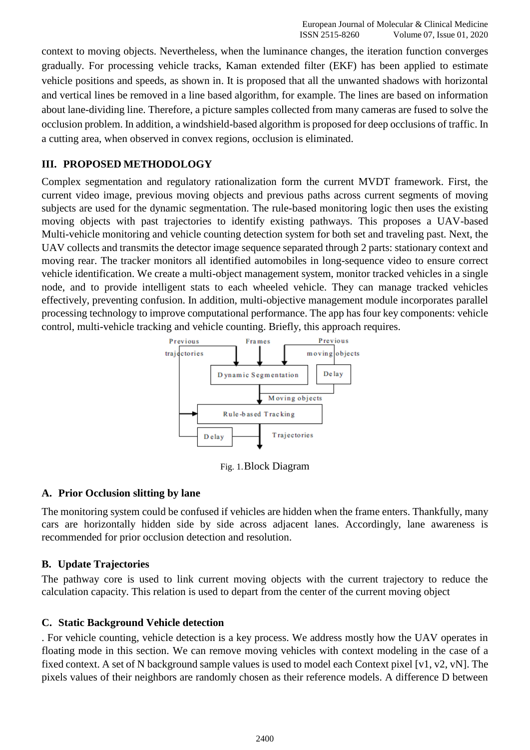context to moving objects. Nevertheless, when the luminance changes, the iteration function converges gradually. For processing vehicle tracks, Kaman extended filter (EKF) has been applied to estimate vehicle positions and speeds, as shown in. It is proposed that all the unwanted shadows with horizontal and vertical lines be removed in a line based algorithm, for example. The lines are based on information about lane-dividing line. Therefore, a picture samples collected from many cameras are fused to solve the occlusion problem. In addition, a windshield-based algorithm is proposed for deep occlusions of traffic. In a cutting area, when observed in convex regions, occlusion is eliminated.

## **III. PROPOSED METHODOLOGY**

Complex segmentation and regulatory rationalization form the current MVDT framework. First, the current video image, previous moving objects and previous paths across current segments of moving subjects are used for the dynamic segmentation. The rule-based monitoring logic then uses the existing moving objects with past trajectories to identify existing pathways. This proposes a UAV-based Multi-vehicle monitoring and vehicle counting detection system for both set and traveling past. Next, the UAV collects and transmits the detector image sequence separated through 2 parts: stationary context and moving rear. The tracker monitors all identified automobiles in long-sequence video to ensure correct vehicle identification. We create a multi-object management system, monitor tracked vehicles in a single node, and to provide intelligent stats to each wheeled vehicle. They can manage tracked vehicles effectively, preventing confusion. In addition, multi-objective management module incorporates parallel processing technology to improve computational performance. The app has four key components: vehicle control, multi-vehicle tracking and vehicle counting. Briefly, this approach requires.



Fig. 1.Block Diagram

### **A. Prior Occlusion slitting by lane**

The monitoring system could be confused if vehicles are hidden when the frame enters. Thankfully, many cars are horizontally hidden side by side across adjacent lanes. Accordingly, lane awareness is recommended for prior occlusion detection and resolution.

### **B. Update Trajectories**

The pathway core is used to link current moving objects with the current trajectory to reduce the calculation capacity. This relation is used to depart from the center of the current moving object

### **C. Static Background Vehicle detection**

. For vehicle counting, vehicle detection is a key process. We address mostly how the UAV operates in floating mode in this section. We can remove moving vehicles with context modeling in the case of a fixed context. A set of N background sample values is used to model each Context pixel [v1, v2, vN]. The pixels values of their neighbors are randomly chosen as their reference models. A difference D between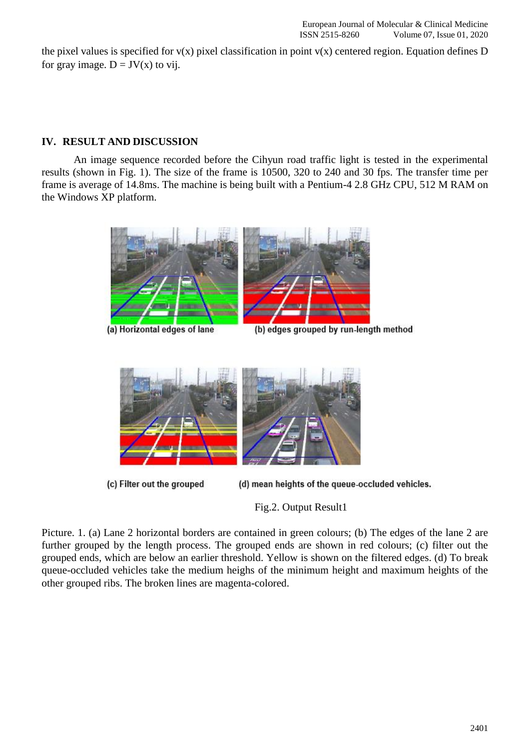the pixel values is specified for  $v(x)$  pixel classification in point  $v(x)$  centered region. Equation defines D for gray image.  $D = JV(x)$  to vij.

## **IV. RESULT AND DISCUSSION**

An image sequence recorded before the Cihyun road traffic light is tested in the experimental results (shown in Fig. 1). The size of the frame is 10500, 320 to 240 and 30 fps. The transfer time per frame is average of 14.8ms. The machine is being built with a Pentium-4 2.8 GHz CPU, 512 M RAM on the Windows XP platform.



(a) Horizontal edges of lane

(b) edges grouped by run-length method



(c) Filter out the grouped

(d) mean heights of the queue-occluded vehicles.

Fig.2. Output Result1

Picture. 1. (a) Lane 2 horizontal borders are contained in green colours; (b) The edges of the lane 2 are further grouped by the length process. The grouped ends are shown in red colours; (c) filter out the grouped ends, which are below an earlier threshold. Yellow is shown on the filtered edges. (d) To break queue-occluded vehicles take the medium heighs of the minimum height and maximum heights of the other grouped ribs. The broken lines are magenta-colored.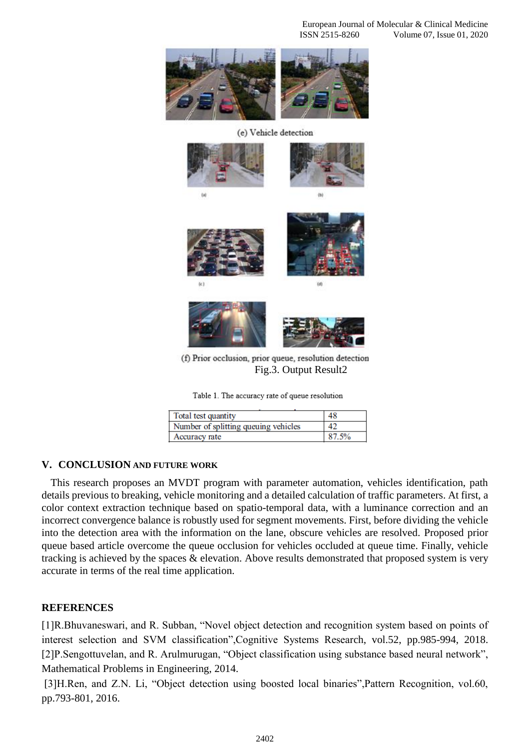

(e) Vehicle detection







(f) Prior occlusion, prior queue, resolution detection Fig.3. Output Result2

Table 1. The accuracy rate of queue resolution

| Total test quantity                  | 48    |
|--------------------------------------|-------|
| Number of splitting queuing vehicles | 42    |
| Accuracy rate                        | 87.5% |

### **V. CONCLUSION AND FUTURE WORK**

This research proposes an MVDT program with parameter automation, vehicles identification, path details previous to breaking, vehicle monitoring and a detailed calculation of traffic parameters. At first, a color context extraction technique based on spatio-temporal data, with a luminance correction and an incorrect convergence balance is robustly used for segment movements. First, before dividing the vehicle into the detection area with the information on the lane, obscure vehicles are resolved. Proposed prior queue based article overcome the queue occlusion for vehicles occluded at queue time. Finally, vehicle tracking is achieved by the spaces & elevation. Above results demonstrated that proposed system is very accurate in terms of the real time application.

#### **REFERENCES**

[1]R.Bhuvaneswari, and R. Subban, "Novel object detection and recognition system based on points of interest selection and SVM classification",Cognitive Systems Research, vol.52, pp.985-994, 2018. [2]P.Sengottuvelan, and R. Arulmurugan, "Object classification using substance based neural network", Mathematical Problems in Engineering, 2014.

[3]H.Ren, and Z.N. Li, "Object detection using boosted local binaries",Pattern Recognition, vol.60, pp.793-801, 2016.